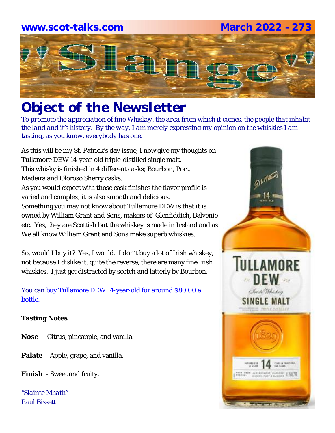## **www.scot-talks.com March 2022 - 273**



# *Object of the Newsletter*

*To promote the appreciation of fine Whiskey, the area from which it comes, the people that inhabit the land and it's history. By the way, I am merely expressing my opinion on the whiskies I am tasting, as you know, everybody has one.* 

As this will be my St. Patrick's day issue, I now give my thoughts on Tullamore DEW 14-year-old triple-distilled single malt. This whisky is finished in 4 different casks; Bourbon, Port, Madeira and Oloroso Sherry casks. As you would expect with those cask finishes the flavor profile is varied and complex, it is also smooth and delicious. Something you may not know about Tullamore DEW is that it is owned by William Grant and Sons, makers of Glenfiddich, Balvenie etc. Yes, they are Scottish but the whiskey is made in Ireland and as We all know William Grant and Sons make superb whiskies.

So, would I buy it? Yes, I would. I don't buy a lot of Irish whiskey, not because I dislike it, quite the reverse, there are many fine Irish whiskies. I just get distracted by scotch and latterly by Bourbon.

### You can buy Tullamore DEW 14-year-old for around \$80.00 a bottle.

### **Tasting Notes**

- **Nose**  Citrus, pineapple, and vanilla.
- **Palate**  Apple, grape, and vanilla.
- **Finish**  Sweet and fruity.

*"Slainte Mhath" Paul Bissett*

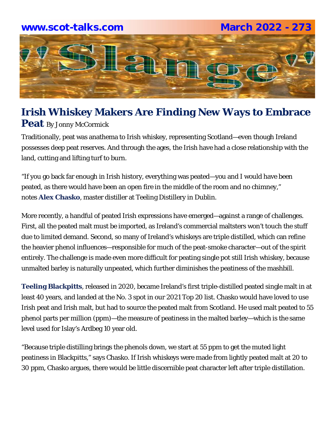### **www.scot-talks.com March 2022 - 273**



### **Irish Whiskey Makers Are Finding New Ways to Embrace Peat** By Jonny McCormick

Traditionally, peat was anathema to Irish whiskey, representing Scotland—even though Ireland possesses deep peat reserves. And through the ages, the Irish have had a close relationship with the land, cutting and lifting turf to burn.

"If you go back far enough in Irish history, everything was peated—you and I would have been peated, as there would have been an open fire in the middle of the room and no chimney," notes **Alex Chasko**, master distiller at Teeling Distillery in Dublin.

More recently, a handful of peated Irish expressions have emerged—against a range of challenges. First, all the peated malt must be imported, as Ireland's commercial maltsters won't touch the stuff due to limited demand. Second, so many of Ireland's whiskeys are triple distilled, which can refine the heavier phenol influences—responsible for much of the peat-smoke character—out of the spirit entirely. The challenge is made even more difficult for peating single pot still Irish whiskey, because unmalted barley is naturally unpeated, which further diminishes the peatiness of the mashbill.

**Teeling Blackpitts**, released in 2020, became Ireland's first triple-distilled peated single malt in at least 40 years, and landed at the No. 3 spot in our 2021 Top 20 list. Chasko would have loved to use Irish peat and Irish malt, but had to source the peated malt from Scotland. He used malt peated to 55 phenol parts per million (ppm)—the measure of peatiness in the malted barley—which is the same level used for Islay's Ardbeg 10 year old.

"Because triple distilling brings the phenols down, we start at 55 ppm to get the muted light peatiness in Blackpitts," says Chasko. If Irish whiskeys were made from lightly peated malt at 20 to 30 ppm, Chasko argues, there would be little discernible peat character left after triple distillation.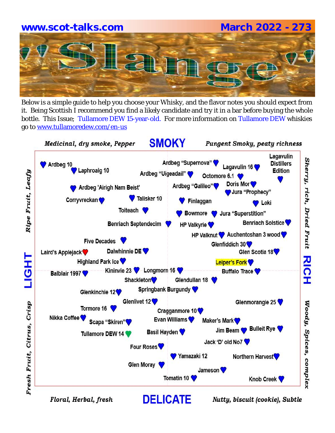# **www.scot-talks.com March 2022 - 273**

Below is a simple guide to help you choose your Whisky, and the flavor notes you should expect from it. Being Scottish I recommend you find a likely candidate and try it in a bar before buying the whole bottle. This Issue; Tullamore DEW 15-year-old. For more information on Tullamore DEW whiskies go to www.tullamoredew.com/en-us



Floral, Herbal, fresh

Nutty, biscuit (cookie), Subtle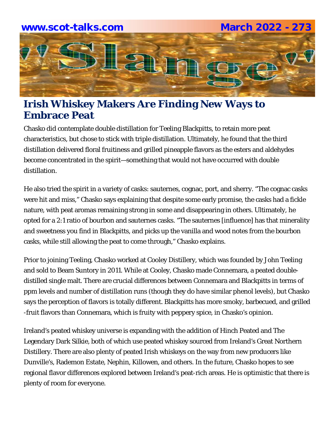

# **Irish Whiskey Makers Are Finding New Ways to Embrace Peat**

Chasko did contemplate double distillation for Teeling Blackpitts, to retain more peat characteristics, but chose to stick with triple distillation. Ultimately, he found that the third distillation delivered floral fruitiness and grilled pineapple flavors as the esters and aldehydes become concentrated in the spirit—something that would not have occurred with double distillation.

He also tried the spirit in a variety of casks: sauternes, cognac, port, and sherry. "The cognac casks were hit and miss," Chasko says explaining that despite some early promise, the casks had a fickle nature, with peat aromas remaining strong in some and disappearing in others. Ultimately, he opted for a 2:1 ratio of bourbon and sauternes casks. "The sauternes [influence] has that minerality and sweetness you find in Blackpitts, and picks up the vanilla and wood notes from the bourbon casks, while still allowing the peat to come through," Chasko explains.

Prior to joining Teeling, Chasko worked at Cooley Distillery, which was founded by John Teeling and sold to Beam Suntory in 2011. While at Cooley, Chasko made Connemara, a peated doubledistilled single malt. There are crucial differences between Connemara and Blackpitts in terms of ppm levels and number of distillation runs (though they do have similar phenol levels), but Chasko says the perception of flavors is totally different. Blackpitts has more smoky, barbecued, and grilled -fruit flavors than Connemara, which is fruity with peppery spice, in Chasko's opinion.

Ireland's peated whiskey universe is expanding with the addition of Hinch Peated and The Legendary Dark Silkie, both of which use peated whiskey sourced from Ireland's Great Northern Distillery. There are also plenty of peated Irish whiskeys on the way from new producers like Dunville's, Rademon Estate, Nephin, Killowen, and others. In the future, Chasko hopes to see regional flavor differences explored between Ireland's peat-rich areas. He is optimistic that there is plenty of room for everyone.